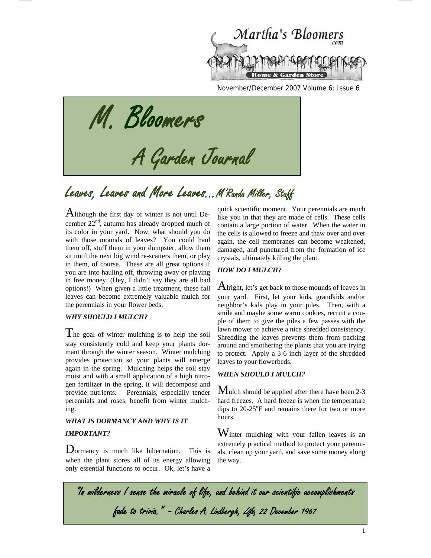

November/December 2007 Volume 6; Issue 6

M. Bloomers

# A Garden Journal<br>Leaves, Leaves and More Leaves...M'Randa Miller, Staff

Although the first day of winter is not until December 22nd, autumn has already dropped much of its color in your yard. Now, what should you do with those mounds of leaves? You could haul them off, stuff them in your dumpster, allow them sit until the next big wind re-scatters them, or play in them, of course. These are all great options if you are into hauling off, throwing away or playing in free money. (Hey, I didn't say they are all bad options!) When given a little treatment, these fall leaves can become extremely valuable mulch for the perennials in your flower beds.

#### *WHY SHOULD I MULCH?*

The goal of winter mulching is to help the soil stay consistently cold and keep your plants dormant through the winter season. Winter mulching provides protection so your plants will emerge again in the spring. Mulching helps the soil stay moist and with a small application of a high nitrogen fertilizer in the spring, it will decompose and provide nutrients. Perennials, especially tender perennials and roses, benefit from winter mulching.

## *WHAT IS DORMANCY AND WHY IS IT IMPORTANT?*

Dormancy is much like hibernation. This is when the plant stores all of its energy allowing only essential functions to occur. Ok, let's have a

quick scientific moment. Your perennials are much like you in that they are made of cells. These cells contain a large portion of water. When the water in the cells is allowed to freeze and thaw over and over again, the cell membranes can become weakened, damaged, and punctured from the formation of ice crystals, ultimately killing the plant.

#### *HOW DO I MULCH?*

Alright, let's get back to those mounds of leaves in your yard. First, let your kids, grandkids and/or neighbor's kids play in your piles. Then, with a smile and maybe some warm cookies, recruit a couple of them to give the piles a few passes with the lawn mower to achieve a nice shredded consistency. Shredding the leaves prevents them from packing around and smothering the plants that you are trying to protect. Apply a 3-6 inch layer of the shredded leaves to your flowerbeds.

### *WHEN SHOULD I MULCH?*

Mulch should be applied after there have been 2-3 hard freezes. A hard freeze is when the temperature dips to  $20-25$ °F and remains there for two or more hours.

Winter mulching with your fallen leaves is an extremely practical method to protect your perennials, clean up your yard, and save some money along the way.

"In wilderness I sense the miracle of life, and behind it our scientific accomplishments fade to trivia." - Charles A. Lindbergh, Life, 22 December 1967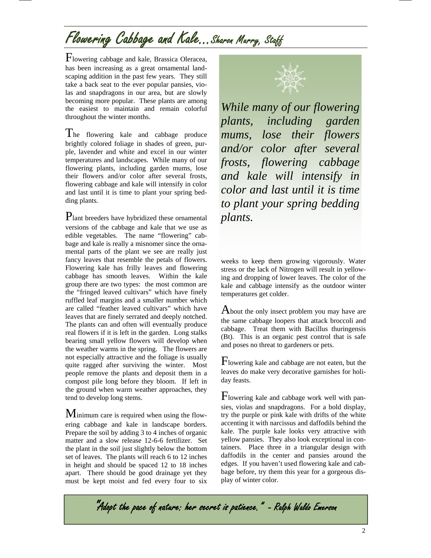## Flowering Cabbage and Kale...Sharon Murry, Staff

Flowering cabbage and kale, Brassica Oleracea, has been increasing as a great ornamental landscaping addition in the past few years. They still take a back seat to the ever popular pansies, violas and snapdragons in our area, but are slowly becoming more popular. These plants are among the easiest to maintain and remain colorful throughout the winter months.

The flowering kale and cabbage produce brightly colored foliage in shades of green, purple, lavender and white and excel in our winter temperatures and landscapes. While many of our flowering plants, including garden mums, lose their flowers and/or color after several frosts, flowering cabbage and kale will intensify in color and last until it is time to plant your spring bedding plants.

Plant breeders have hybridized these ornamental versions of the cabbage and kale that we use as edible vegetables. The name "flowering" cabbage and kale is really a misnomer since the ornamental parts of the plant we see are really just fancy leaves that resemble the petals of flowers. Flowering kale has frilly leaves and flowering cabbage has smooth leaves. Within the kale group there are two types: the most common are the "fringed leaved cultivars" which have finely ruffled leaf margins and a smaller number which are called "feather leaved cultivars" which have leaves that are finely serrated and deeply notched. The plants can and often will eventually produce real flowers if it is left in the garden. Long stalks bearing small yellow flowers will develop when the weather warms in the spring. The flowers are not especially attractive and the foliage is usually quite ragged after surviving the winter. Most people remove the plants and deposit them in a compost pile long before they bloom. If left in the ground when warm weather approaches, they tend to develop long stems.

Minimum care is required when using the flowering cabbage and kale in landscape borders. Prepare the soil by adding 3 to 4 inches of organic matter and a slow release 12-6-6 fertilizer. Set the plant in the soil just slightly below the bottom set of leaves. The plants will reach 6 to 12 inches in height and should be spaced 12 to 18 inches apart. There should be good drainage yet they must be kept moist and fed every four to six



*While many of our flowering plants, including garden mums, lose their flowers and/or color after several frosts, flowering cabbage and kale will intensify in color and last until it is time to plant your spring bedding plants.* 

weeks to keep them growing vigorously. Water stress or the lack of Nitrogen will result in yellowing and dropping of lower leaves. The color of the kale and cabbage intensify as the outdoor winter temperatures get colder.

About the only insect problem you may have are the same cabbage loopers that attack broccoli and cabbage. Treat them with Bacillus thuringensis (Bt). This is an organic pest control that is safe and poses no threat to gardeners or pets.

Flowering kale and cabbage are not eaten, but the leaves do make very decorative garnishes for holiday feasts.

Flowering kale and cabbage work well with pansies, violas and snapdragons. For a bold display, try the purple or pink kale with drifts of the white accenting it with narcissus and daffodils behind the kale. The purple kale looks very attractive with yellow pansies. They also look exceptional in containers. Place three in a triangular design with daffodils in the center and pansies around the edges. If you haven't used flowering kale and cabbage before, try them this year for a gorgeous display of winter color.

"Adopt the pace of nature: her secret is patience." - Ralph Waldo Emerson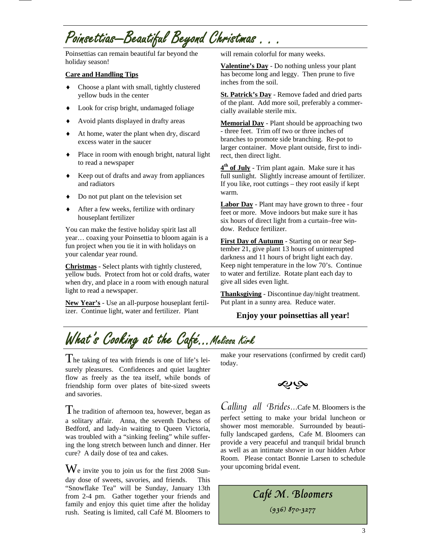# Poinsettias—Beautiful Beyond Christmas . . .

Poinsettias can remain beautiful far beyond the holiday season!

### **Care and Handling Tips**

- ♦ Choose a plant with small, tightly clustered yellow buds in the center
- ♦ Look for crisp bright, undamaged foliage
- Avoid plants displayed in drafty areas
- ♦ At home, water the plant when dry, discard excess water in the saucer
- ♦ Place in room with enough bright, natural light to read a newspaper
- ♦ Keep out of drafts and away from appliances and radiators
- ♦ Do not put plant on the television set
- After a few weeks, fertilize with ordinary houseplant fertilizer

You can make the festive holiday spirit last all year… coaxing your Poinsettia to bloom again is a fun project when you tie it in with holidays on your calendar year round.

**Christmas** - Select plants with tightly clustered, yellow buds. Protect from hot or cold drafts, water when dry, and place in a room with enough natural light to read a newspaper.

**New Year's** - Use an all-purpose houseplant fertilizer. Continue light, water and fertilizer. Plant

will remain colorful for many weeks.

**Valentine's Day** - Do nothing unless your plant has become long and leggy. Then prune to five inches from the soil.

**St. Patrick's Day** - Remove faded and dried parts of the plant. Add more soil, preferably a commercially available sterile mix.

**Memorial Day** - Plant should be approaching two - three feet. Trim off two or three inches of branches to promote side branching. Re-pot to larger container. Move plant outside, first to indirect, then direct light.

**4th of July** - Trim plant again. Make sure it has full sunlight. Slightly increase amount of fertilizer. If you like, root cuttings – they root easily if kept warm.

**Labor Day** - Plant may have grown to three - four feet or more. Move indoors but make sure it has six hours of direct light from a curtain–free window. Reduce fertilizer.

**First Day of Autumn** - Starting on or near September 21, give plant 13 hours of uninterrupted darkness and 11 hours of bright light each day. Keep night temperature in the low 70's. Continue to water and fertilize. Rotate plant each day to give all sides even light.

**Thanksgiving** - Discontinue day/night treatment. Put plant in a sunny area. Reduce water.

## **Enjoy your poinsettias all year!**

## What's Cooking at the Café…Melissa Kirk

The taking of tea with friends is one of life's leisurely pleasures. Confidences and quiet laughter flow as freely as the tea itself, while bonds of friendship form over plates of bite-sized sweets and savories.

The tradition of afternoon tea, however, began as a solitary affair. Anna, the seventh Duchess of Bedford, and lady-in waiting to Queen Victoria, was troubled with a "sinking feeling" while suffering the long stretch between lunch and dinner. Her cure? A daily dose of tea and cakes.

We invite you to join us for the first 2008 Sunday dose of sweets, savories, and friends. This "Snowflake Tea" will be Sunday, January 13th from 2-4 pm. Gather together your friends and family and enjoy this quiet time after the holiday rush. Seating is limited, call Café M. Bloomers to make your reservations (confirmed by credit card) today.



Calling all Brides...Cafe M. Bloomers is the perfect setting to make your bridal luncheon or shower most memorable. Surrounded by beautifully landscaped gardens, Cafe M. Bloomers can provide a very peaceful and tranquil bridal brunch as well as an intimate shower in our hidden Arbor Room. Please contact Bonnie Larsen to schedule your upcoming bridal event.

> Café M. Bloomers (936) 870-3277